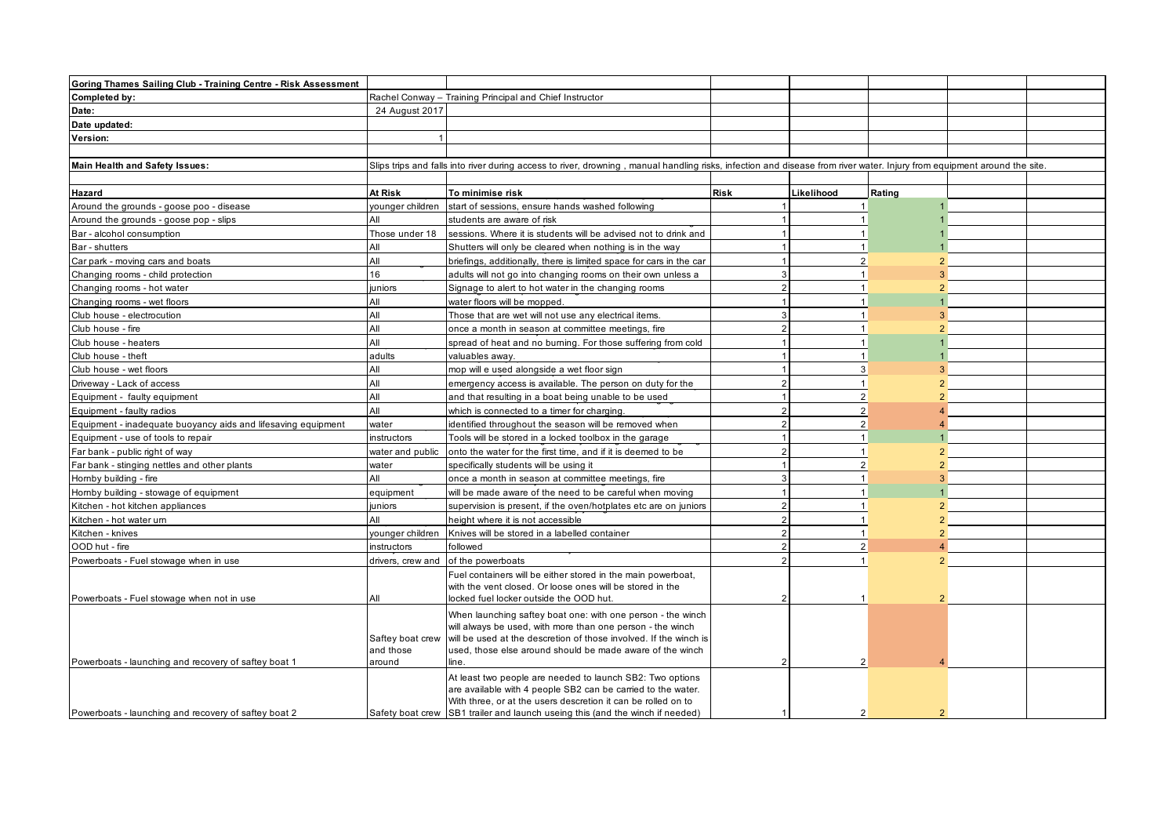| Goring Thames Sailing Club - Training Centre - Risk Assessment |                     |                                                                                                                                                                          |                |               |                |  |
|----------------------------------------------------------------|---------------------|--------------------------------------------------------------------------------------------------------------------------------------------------------------------------|----------------|---------------|----------------|--|
| Completed by:                                                  |                     | Rachel Conway - Training Principal and Chief Instructor                                                                                                                  |                |               |                |  |
| Date:                                                          | 24 August 2017      |                                                                                                                                                                          |                |               |                |  |
| Date updated:                                                  |                     |                                                                                                                                                                          |                |               |                |  |
| Version:                                                       |                     |                                                                                                                                                                          |                |               |                |  |
|                                                                |                     |                                                                                                                                                                          |                |               |                |  |
| <b>Main Health and Safety Issues:</b>                          |                     | Slips trips and falls into river during access to river, drowning, manual handling risks, infection and disease from river water. Injury from equipment around the site. |                |               |                |  |
|                                                                |                     |                                                                                                                                                                          |                |               |                |  |
| Hazard                                                         | At Risk             | To minimise risk                                                                                                                                                         | <b>Risk</b>    | Likelihood    | Rating         |  |
| Around the grounds - goose poo - disease                       | vounger children    | start of sessions, ensure hands washed following                                                                                                                         |                |               |                |  |
| Around the grounds - goose pop - slips                         | All                 | students are aware of risk                                                                                                                                               |                |               |                |  |
| Bar - alcohol consumption                                      | Those under 18      | sessions. Where it is students will be advised not to drink and                                                                                                          |                |               |                |  |
| Bar - shutters                                                 | All                 | Shutters will only be cleared when nothing is in the way                                                                                                                 |                |               |                |  |
| Car park - moving cars and boats                               | All                 | briefings, additionally, there is limited space for cars in the car                                                                                                      |                | $\mathcal{P}$ |                |  |
| Changing rooms - child protection                              | 16                  | adults will not go into changing rooms on their own unless a                                                                                                             | 3              |               | 3              |  |
| Changing rooms - hot water                                     | juniors             | Signage to alert to hot water in the changing rooms                                                                                                                      | $\mathcal{P}$  |               | $\overline{2}$ |  |
| Changing rooms - wet floors                                    | All                 | water floors will be mopped.                                                                                                                                             |                |               |                |  |
| Club house - electrocution                                     | All                 | Those that are wet will not use any electrical items.                                                                                                                    |                |               | 3              |  |
| Club house - fire                                              | All                 | once a month in season at committee meetings, fire                                                                                                                       | $\mathcal{P}$  |               | $\mathcal{P}$  |  |
| Club house - heaters                                           | All                 | spread of heat and no burning. For those suffering from cold                                                                                                             |                |               |                |  |
| Club house - theft                                             | adults              | valuables away.                                                                                                                                                          |                |               |                |  |
| Club house - wet floors                                        | All                 | mop will e used alongside a wet floor sign                                                                                                                               |                | 3             | $\mathbf{R}$   |  |
| Driveway - Lack of access                                      | All                 | emergency access is available. The person on duty for the                                                                                                                |                |               |                |  |
| Equipment - faulty equipment                                   | All                 | and that resulting in a boat being unable to be used                                                                                                                     |                |               |                |  |
| Equipment - faulty radios                                      | All                 | which is connected to a timer for charging.                                                                                                                              | $\mathcal{P}$  | $\mathcal{P}$ |                |  |
| Equipment - inadequate buoyancy aids and lifesaving equipment  | water               | identified throughout the season will be removed when                                                                                                                    | 2              |               |                |  |
| Equipment - use of tools to repair                             | instructors         | Tools will be stored in a locked toolbox in the garage                                                                                                                   |                |               |                |  |
| Far bank - public right of way                                 | water and public    | onto the water for the first time, and if it is deemed to be                                                                                                             | $\mathcal{P}$  |               | $\overline{2}$ |  |
| Far bank - stinging nettles and other plants                   | water               | specifically students will be using it                                                                                                                                   |                |               |                |  |
| Hornby building - fire                                         | All                 | once a month in season at committee meetings, fire                                                                                                                       |                |               | 3              |  |
| Hornby building - stowage of equipment                         | equipment           | will be made aware of the need to be careful when moving                                                                                                                 |                |               |                |  |
| Kitchen - hot kitchen appliances                               | juniors             | supervision is present, if the oven/hotplates etc are on juniors                                                                                                         | $\mathcal{P}$  |               |                |  |
| Kitchen - hot water um                                         | All                 | height where it is not accessible                                                                                                                                        | $\mathcal{D}$  |               |                |  |
| Kitchen - knives                                               | vounger children    | Knives will be stored in a labelled container                                                                                                                            | $\overline{2}$ |               |                |  |
| OOD hut - fire                                                 | instructors         | followed                                                                                                                                                                 |                |               |                |  |
| Powerboats - Fuel stowage when in use                          |                     | drivers, crew and of the powerboats                                                                                                                                      |                |               |                |  |
|                                                                |                     | Fuel containers will be either stored in the main powerboat,                                                                                                             |                |               |                |  |
|                                                                |                     | with the vent closed. Or loose ones will be stored in the                                                                                                                |                |               |                |  |
| Powerboats - Fuel stowage when not in use                      | All                 | locked fuel locker outside the OOD hut.                                                                                                                                  |                |               |                |  |
|                                                                |                     | When launching saftey boat one: with one person - the winch                                                                                                              |                |               |                |  |
|                                                                |                     | will always be used, with more than one person - the winch                                                                                                               |                |               |                |  |
|                                                                |                     | Saftey boat crew will be used at the descretion of those involved. If the winch is                                                                                       |                |               |                |  |
|                                                                | and those<br>around | used, those else around should be made aware of the winch<br>line.                                                                                                       | $\mathcal{P}$  |               |                |  |
| Powerboats - launching and recovery of saftey boat 1           |                     |                                                                                                                                                                          |                |               |                |  |
|                                                                |                     | At least two people are needed to launch SB2: Two options<br>are available with 4 people SB2 can be carried to the water.                                                |                |               |                |  |
|                                                                |                     | With three, or at the users descretion it can be rolled on to                                                                                                            |                |               |                |  |
| Powerboats - launching and recovery of saftey boat 2           |                     | Safety boat crew SB1 trailer and launch useing this (and the winch if needed)                                                                                            |                |               |                |  |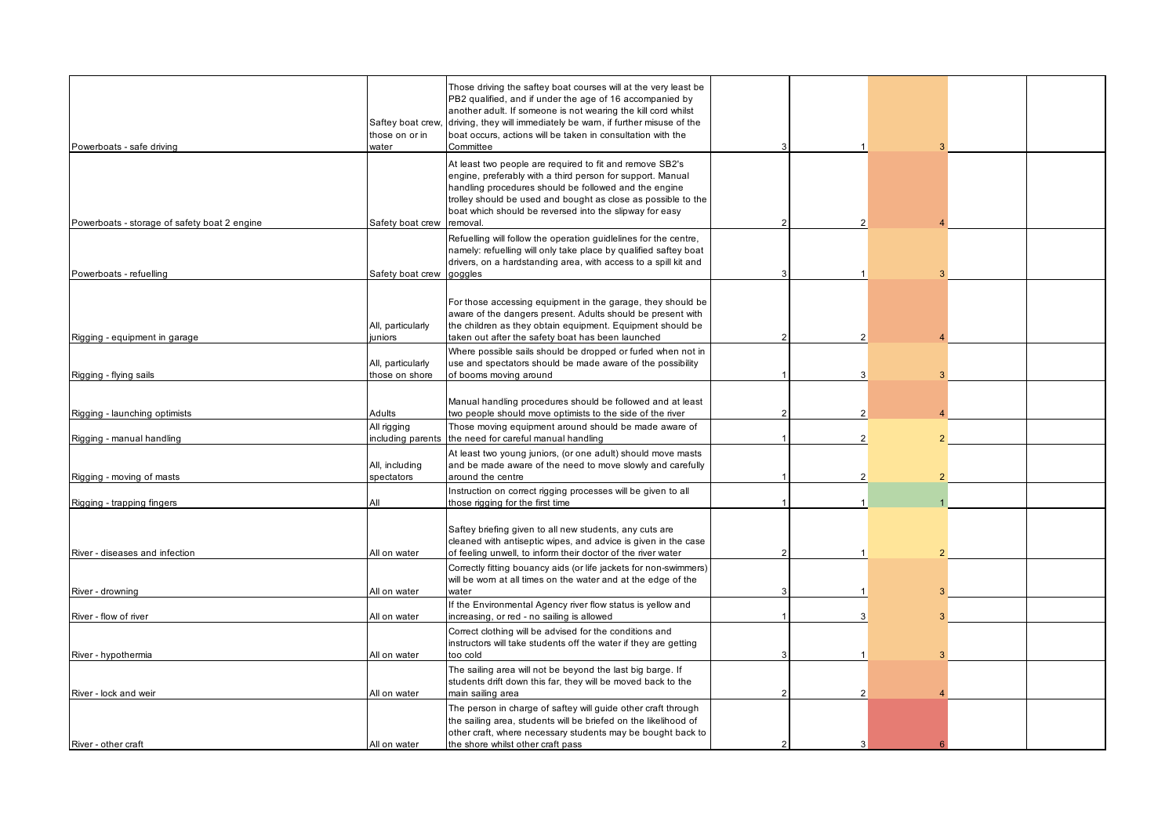| Powerboats - safe driving                    | Saftey boat crew,<br>those on or in<br>water | Those driving the saftey boat courses will at the very least be<br>PB2 qualified, and if under the age of 16 accompanied by<br>another adult. If someone is not wearing the kill cord whilst<br>driving, they will immediately be wam, if further misuse of the<br>boat occurs, actions will be taken in consultation with the<br>Committee | 3             |                |  |  |
|----------------------------------------------|----------------------------------------------|---------------------------------------------------------------------------------------------------------------------------------------------------------------------------------------------------------------------------------------------------------------------------------------------------------------------------------------------|---------------|----------------|--|--|
| Powerboats - storage of safety boat 2 engine | Safety boat crew                             | At least two people are required to fit and remove SB2's<br>engine, preferably with a third person for support. Manual<br>handling procedures should be followed and the engine<br>trolley should be used and bought as close as possible to the<br>boat which should be reversed into the slipway for easy<br>removal.                     |               |                |  |  |
| Powerboats - refuelling                      | Safety boat crew                             | Refuelling will follow the operation guidlelines for the centre,<br>namely: refuelling will only take place by qualified saftey boat<br>drivers, on a hardstanding area, with access to a spill kit and<br>goggles                                                                                                                          |               |                |  |  |
| Rigging - equipment in garage                | All, particularly<br>juniors                 | For those accessing equipment in the garage, they should be<br>aware of the dangers present. Adults should be present with<br>the children as they obtain equipment. Equipment should be<br>taken out after the safety boat has been launched                                                                                               | $\mathcal{P}$ | $\mathfrak{p}$ |  |  |
| Rigging - flying sails                       | All, particularly<br>those on shore          | Where possible sails should be dropped or furled when not in<br>use and spectators should be made aware of the possibility<br>of booms moving around                                                                                                                                                                                        |               | 3              |  |  |
| Rigging - launching optimists                | Adults                                       | Manual handling procedures should be followed and at least<br>two people should move optimists to the side of the river                                                                                                                                                                                                                     |               | $\mathfrak{p}$ |  |  |
| Rigging - manual handling                    | All rigging<br>including parents             | Those moving equipment around should be made aware of<br>the need for careful manual handling                                                                                                                                                                                                                                               |               | $\overline{2}$ |  |  |
| Rigging - moving of masts                    | All, including<br>spectators                 | At least two young juniors, (or one adult) should move masts<br>and be made aware of the need to move slowly and carefully<br>around the centre                                                                                                                                                                                             |               | $\overline{2}$ |  |  |
| Rigging - trapping fingers                   | All                                          | Instruction on correct rigging processes will be given to all<br>those rigging for the first time                                                                                                                                                                                                                                           |               |                |  |  |
| River - diseases and infection               | All on water                                 | Saftey briefing given to all new students, any cuts are<br>cleaned with antiseptic wipes, and advice is given in the case<br>of feeling unwell, to inform their doctor of the river water                                                                                                                                                   |               |                |  |  |
| River - drowning                             | All on water                                 | Correctly fitting bouancy aids (or life jackets for non-swimmers)<br>will be worn at all times on the water and at the edge of the<br>water                                                                                                                                                                                                 |               |                |  |  |
| River - flow of river                        | All on water                                 | If the Environmental Agency river flow status is yellow and<br>increasing, or red - no sailing is allowed                                                                                                                                                                                                                                   |               |                |  |  |
| River - hypothermia                          | All on water                                 | Correct clothing will be advised for the conditions and<br>instructors will take students off the water if they are getting<br>too cold                                                                                                                                                                                                     |               |                |  |  |
| River - lock and weir                        | All on water                                 | The sailing area will not be beyond the last big barge. If<br>students drift down this far, they will be moved back to the<br>main sailing area                                                                                                                                                                                             |               |                |  |  |
|                                              |                                              | The person in charge of saftey will guide other craft through<br>the sailing area, students will be briefed on the likelihood of<br>other craft, where necessary students may be bought back to                                                                                                                                             |               |                |  |  |
| River - other craft                          | All on water                                 | the shore whilst other craft pass                                                                                                                                                                                                                                                                                                           |               | 3              |  |  |